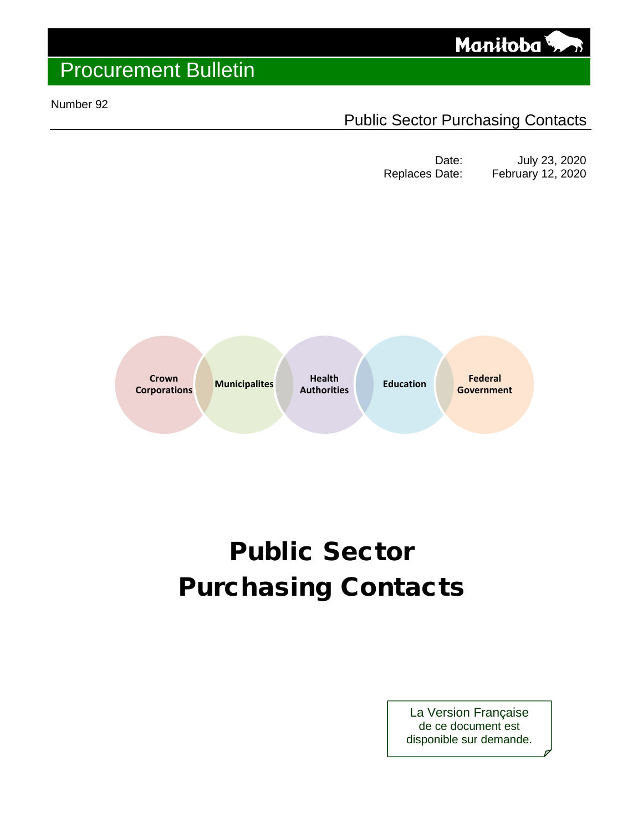

#### Number 92

### Public Sector Purchasing Contacts

Date: July 23, 2020<br>Replaces Date: February 12, 2020 February 12, 2020



# Public Sector Purchasing Contacts

La Version Française de ce document est disponible sur demande.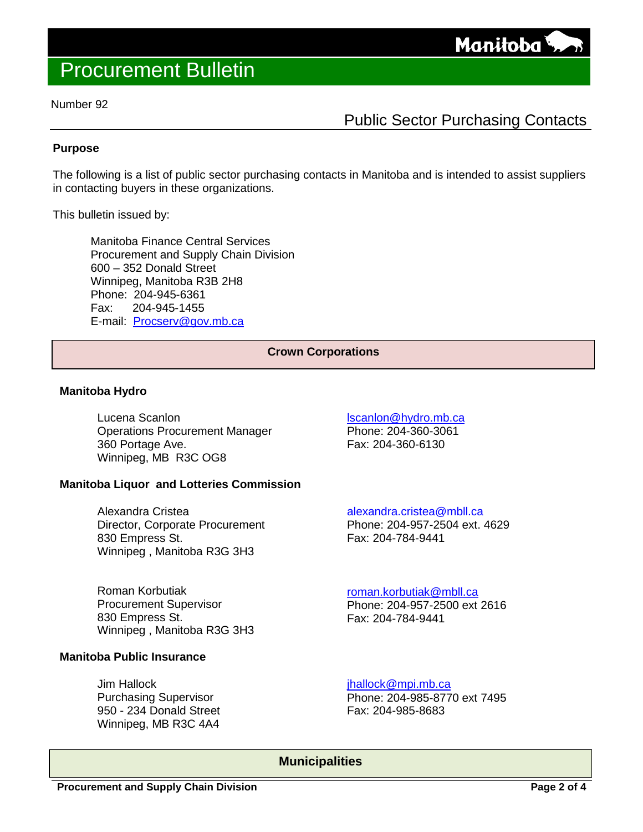

#### Number 92

### Public Sector Purchasing Contacts

#### **Purpose**

The following is a list of public sector purchasing contacts in Manitoba and is intended to assist suppliers in contacting buyers in these organizations.

This bulletin issued by:

Manitoba Finance Central Services Procurement and Supply Chain Division 600 – 352 Donald Street Winnipeg, Manitoba R3B 2H8 Phone: 204-945-6361 Fax: 204-945-1455 E-mail: [Procserv@gov.mb.ca](mailto:Procserv@gov.mb.ca) 

#### **Crown Corporations**

#### **Manitoba Hydro**

Lucena Scanlon Operations Procurement Manager 360 Portage Ave. Winnipeg, MB R3C OG8

#### **Manitoba Liquor and Lotteries Commission**

Alexandra Cristea Director, Corporate Procurement 830 Empress St. Winnipeg , Manitoba R3G 3H3

Roman Korbutiak Procurement Supervisor 830 Empress St. Winnipeg , Manitoba R3G 3H3

#### **Manitoba Public Insurance**

Jim Hallock Purchasing Supervisor 950 - 234 Donald Street Winnipeg, MB R3C 4A4

[lscanlon@hydro.mb.ca](mailto:lscanlon@hydro.mb.ca) Phone: 204-360-3061 Fax: 204-360-6130

[alexandra.cristea@mbll.ca](mailto:ksichewski@mlcc.mb.ca) Phone: 204-957-2504 ext. 4629 Fax: 204-784-9441

[roman.korbutiak@mbll.ca](mailto:roman.korbutiak@mbll.ca) Phone: 204-957-2500 ext 2616 Fax: 204-784-9441

[jhallock@mpi.mb.ca](mailto:jhallock@mpi.mb.ca) Phone: 204-985-8770 ext 7495 Fax: 204-985-8683

**Municipalities**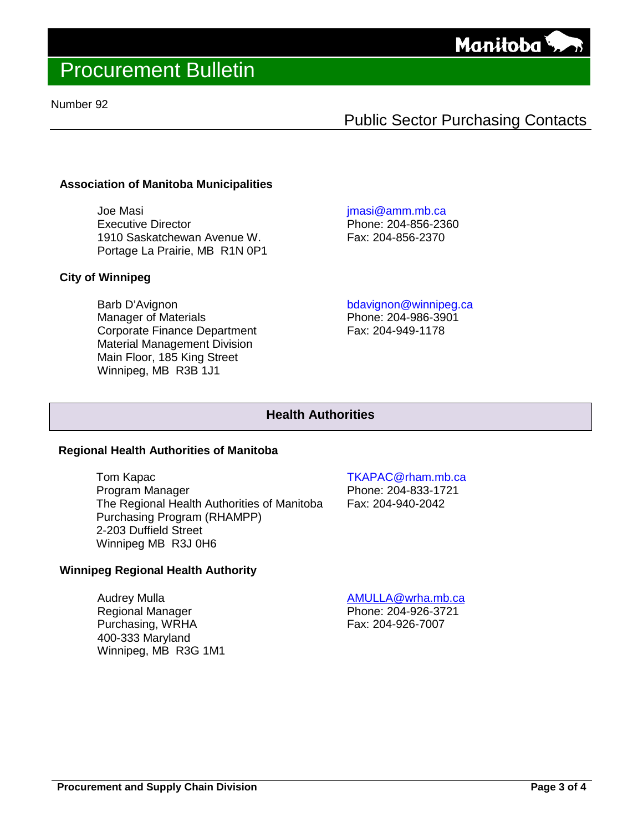

#### Number 92

### Public Sector Purchasing Contacts

#### **Association of Manitoba Municipalities**

Joe Masi Executive Director 1910 Saskatchewan Avenue W. Portage La Prairie, MB R1N 0P1

#### **City of Winnipeg**

Barb D'Avignon Manager of Materials Corporate Finance Department Material Management Division Main Floor, 185 King Street Winnipeg, MB R3B 1J1

[jmasi@amm.mb.ca](mailto:jmasi@amm.mb.ca)

Phone: 204-856-2360 Fax: 204-856-2370

[bdavignon@winnipeg.ca](mailto:bdavignon@winnipeg.ca)

Phone: 204-986-3901 Fax: 204-949-1178

#### **Health Authorities**

#### **Regional Health Authorities of Manitoba**

Tom Kapac Program Manager The Regional Health Authorities of Manitoba Purchasing Program (RHAMPP) 2-203 Duffield Street Winnipeg MB R3J 0H6

#### **Winnipeg Regional Health Authority**

Audrey Mulla Regional Manager Purchasing, WRHA 400-333 Maryland Winnipeg, MB R3G 1M1 [TKAPAC@rham.mb.ca](mailto:TKAPAC@rham.mb.ca)

Phone: 204-833-1721 Fax: 204-940-2042

[AMULLA@wrha.mb.ca](mailto:AMULLA@wrha.mb.ca) Phone: 204-926-3721 Fax: 204-926-7007